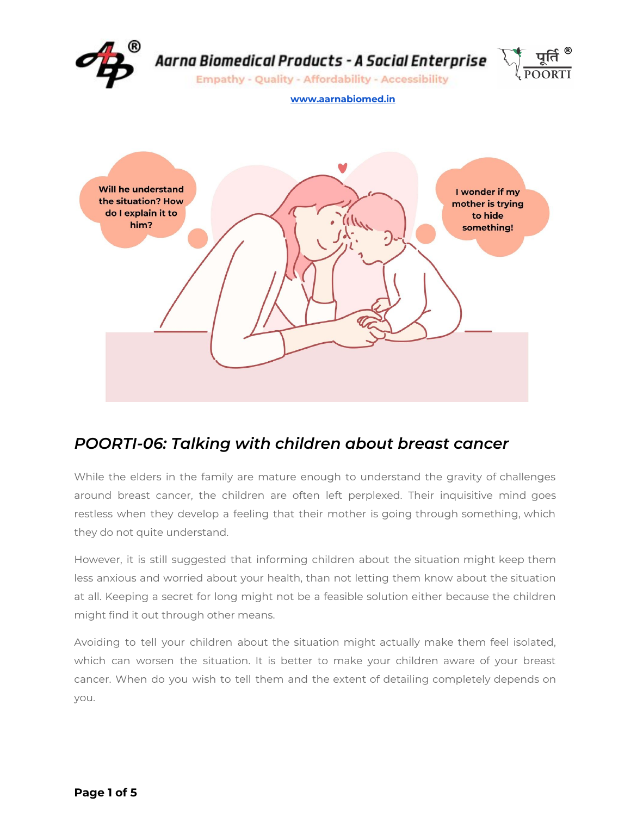

## *POORTI-06: Talking with children about breast cancer*

While the elders in the family are mature enough to understand the gravity of challenges around breast cancer, the children are often left perplexed. Their inquisitive mind goes restless when they develop a feeling that their mother is going through something, which they do not quite understand.

However, it is still suggested that informing children about the situation might keep them less anxious and worried about your health, than not letting them know about the situation at all. Keeping a secret for long might not be a feasible solution either because the children might find it out through other means.

Avoiding to tell your children about the situation might actually make them feel isolated, which can worsen the situation. It is better to make your children aware of your breast cancer. When do you wish to tell them and the extent of detailing completely depends on you.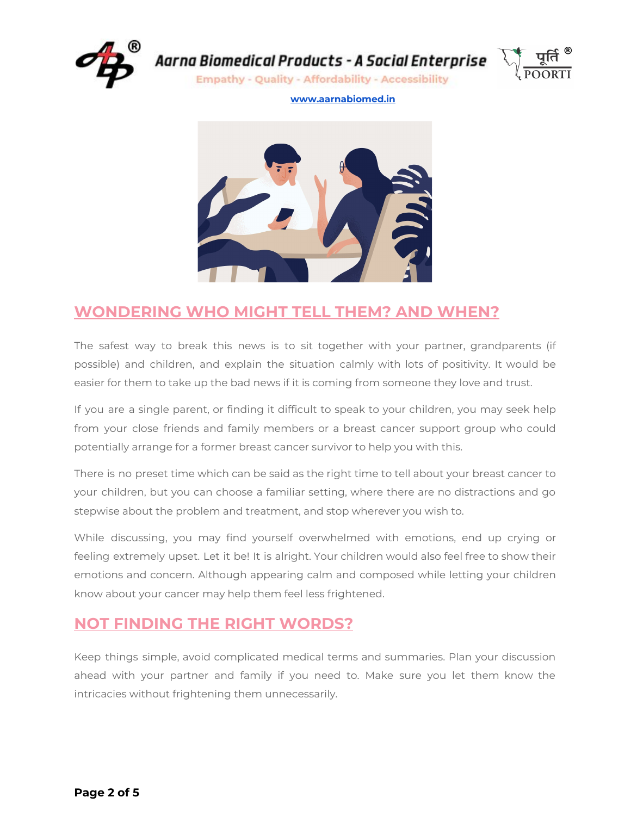

**Empathy - Quality - Affordability - Accessibility** 



#### **[www.aarnabiomed.in](http://www.aarnabiomed.in/)**



### **WONDERING WHO MIGHT TELL THEM? AND WHEN?**

The safest way to break this news is to sit together with your partner, grandparents (if possible) and children, and explain the situation calmly with lots of positivity. It would be easier for them to take up the bad news if it is coming from someone they love and trust.

If you are a single parent, or finding it difficult to speak to your children, you may seek help from your close friends and family members or a breast cancer support group who could potentially arrange for a former breast cancer survivor to help you with this.

There is no preset time which can be said as the right time to tell about your breast cancer to your children, but you can choose a familiar setting, where there are no distractions and go stepwise about the problem and treatment, and stop wherever you wish to.

While discussing, you may find yourself overwhelmed with emotions, end up crying or feeling extremely upset. Let it be! It is alright. Your children would also feel free to show their emotions and concern. Although appearing calm and composed while letting your children know about your cancer may help them feel less frightened.

### **NOT FINDING THE RIGHT WORDS?**

Keep things simple, avoid complicated medical terms and summaries. Plan your discussion ahead with your partner and family if you need to. Make sure you let them know the intricacies without frightening them unnecessarily.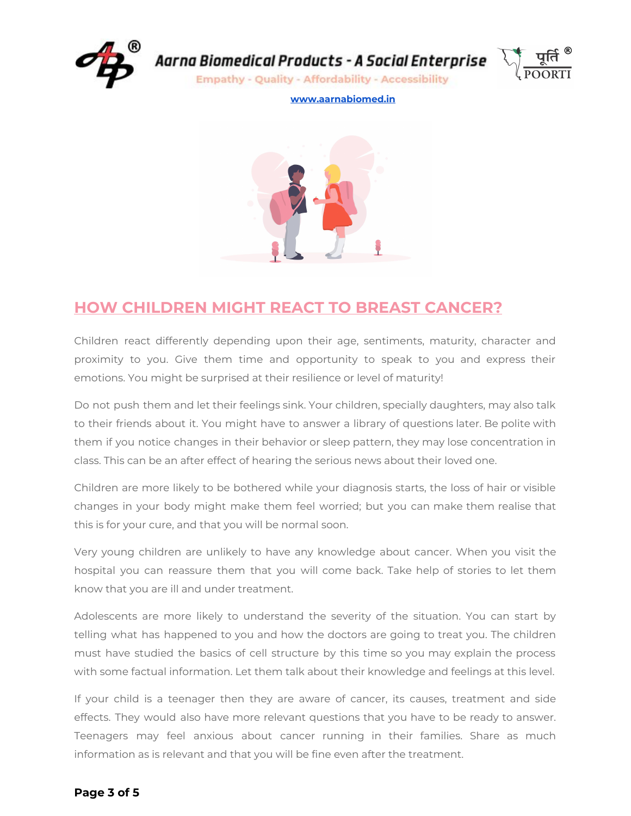

**Empathy - Quality - Affordability - Accessibility** 



**[www.aarnabiomed.in](http://www.aarnabiomed.in/)**



## **HOW CHILDREN MIGHT REACT TO BREAST CANCER?**

Children react differently depending upon their age, sentiments, maturity, character and proximity to you. Give them time and opportunity to speak to you and express their emotions. You might be surprised at their resilience or level of maturity!

Do not push them and let their feelings sink. Your children, specially daughters, may also talk to their friends about it. You might have to answer a library of questions later. Be polite with them if you notice changes in their behavior or sleep pattern, they may lose concentration in class. This can be an after effect of hearing the serious news about their loved one.

Children are more likely to be bothered while your diagnosis starts, the loss of hair or visible changes in your body might make them feel worried; but you can make them realise that this is for your cure, and that you will be normal soon.

Very young children are unlikely to have any knowledge about cancer. When you visit the hospital you can reassure them that you will come back. Take help of stories to let them know that you are ill and under treatment.

Adolescents are more likely to understand the severity of the situation. You can start by telling what has happened to you and how the doctors are going to treat you. The children must have studied the basics of cell structure by this time so you may explain the process with some factual information. Let them talk about their knowledge and feelings at this level.

If your child is a teenager then they are aware of cancer, its causes, treatment and side effects. They would also have more relevant questions that you have to be ready to answer. Teenagers may feel anxious about cancer running in their families. Share as much information as is relevant and that you will be fine even after the treatment.

#### **Page 3 of 5**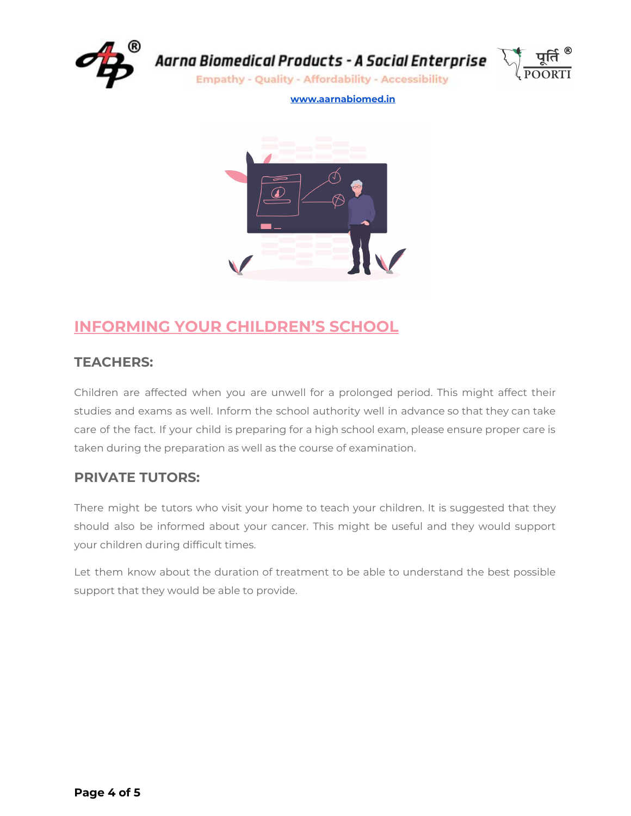

**Empathy - Quality - Affordability - Accessibility** 



**[www.aarnabiomed.in](http://www.aarnabiomed.in/)**



## **INFORMING YOUR CHILDREN'S SCHOOL**

### **TEACHERS:**

Children are affected when you are unwell for a prolonged period. This might affect their studies and exams as well. Inform the school authority well in advance so that they can take care of the fact. If your child is preparing for a high school exam, please ensure proper care is taken during the preparation as well as the course of examination.

### **PRIVATE TUTORS:**

There might be tutors who visit your home to teach your children. It is suggested that they should also be informed about your cancer. This might be useful and they would support your children during difficult times.

Let them know about the duration of treatment to be able to understand the best possible support that they would be able to provide.